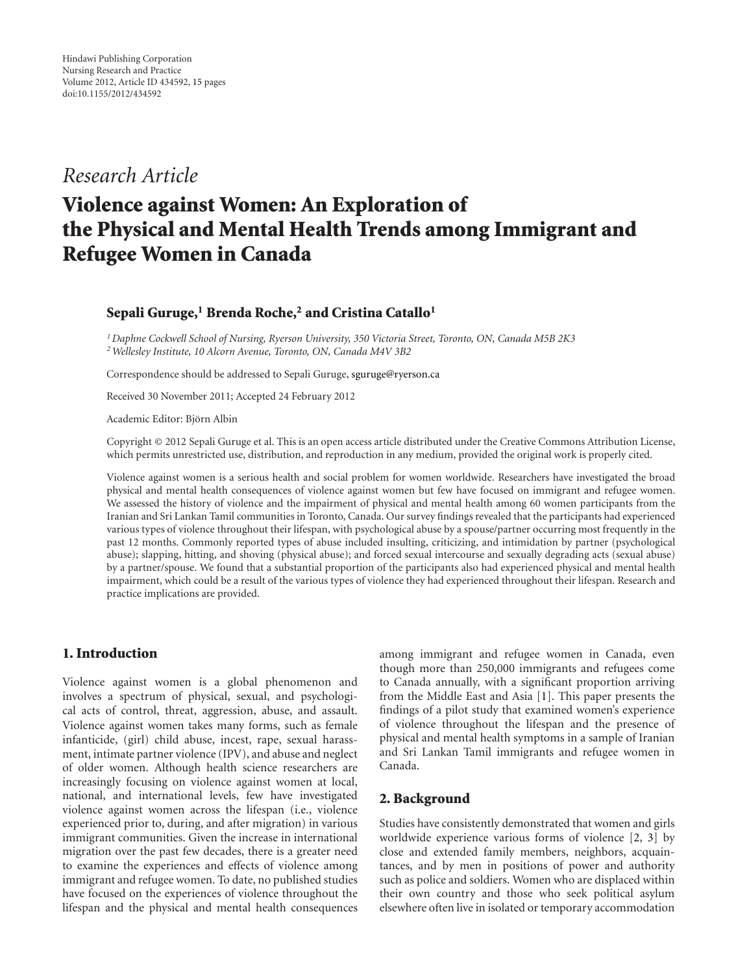## *Research Article*

# **Violence against Women: An Exploration of the Physical and Mental Health Trends among Immigrant and Refugee Women in Canada**

#### Sepali Guruge,<sup>1</sup> Brenda Roche,<sup>2</sup> and Cristina Catallo<sup>1</sup>

*1Daphne Cockwell School of Nursing, Ryerson University, 350 Victoria Street, Toronto, ON, Canada M5B 2K3 2Wellesley Institute, 10 Alcorn Avenue, Toronto, ON, Canada M4V 3B2*

Correspondence should be addressed to Sepali Guruge, sguruge@ryerson.ca

Received 30 November 2011; Accepted 24 February 2012

Academic Editor: Bjorn Albin ¨

Copyright © 2012 Sepali Guruge et al. This is an open access article distributed under the Creative Commons Attribution License, which permits unrestricted use, distribution, and reproduction in any medium, provided the original work is properly cited.

Violence against women is a serious health and social problem for women worldwide. Researchers have investigated the broad physical and mental health consequences of violence against women but few have focused on immigrant and refugee women. We assessed the history of violence and the impairment of physical and mental health among 60 women participants from the Iranian and Sri Lankan Tamil communities in Toronto, Canada. Our survey findings revealed that the participants had experienced various types of violence throughout their lifespan, with psychological abuse by a spouse/partner occurring most frequently in the past 12 months. Commonly reported types of abuse included insulting, criticizing, and intimidation by partner (psychological abuse); slapping, hitting, and shoving (physical abuse); and forced sexual intercourse and sexually degrading acts (sexual abuse) by a partner/spouse. We found that a substantial proportion of the participants also had experienced physical and mental health impairment, which could be a result of the various types of violence they had experienced throughout their lifespan. Research and practice implications are provided.

#### **1. Introduction**

Violence against women is a global phenomenon and involves a spectrum of physical, sexual, and psychological acts of control, threat, aggression, abuse, and assault. Violence against women takes many forms, such as female infanticide, (girl) child abuse, incest, rape, sexual harassment, intimate partner violence (IPV), and abuse and neglect of older women. Although health science researchers are increasingly focusing on violence against women at local, national, and international levels, few have investigated violence against women across the lifespan (i.e., violence experienced prior to, during, and after migration) in various immigrant communities. Given the increase in international migration over the past few decades, there is a greater need to examine the experiences and effects of violence among immigrant and refugee women. To date, no published studies have focused on the experiences of violence throughout the lifespan and the physical and mental health consequences

among immigrant and refugee women in Canada, even though more than 250,000 immigrants and refugees come to Canada annually, with a significant proportion arriving from the Middle East and Asia [1]. This paper presents the findings of a pilot study that examined women's experience of violence throughout the lifespan and the presence of physical and mental health symptoms in a sample of Iranian and Sri Lankan Tamil immigrants and refugee women in Canada.

#### **2. Background**

Studies have consistently demonstrated that women and girls worldwide experience various forms of violence [2, 3] by close and extended family members, neighbors, acquaintances, and by men in positions of power and authority such as police and soldiers. Women who are displaced within their own country and those who seek political asylum elsewhere often live in isolated or temporary accommodation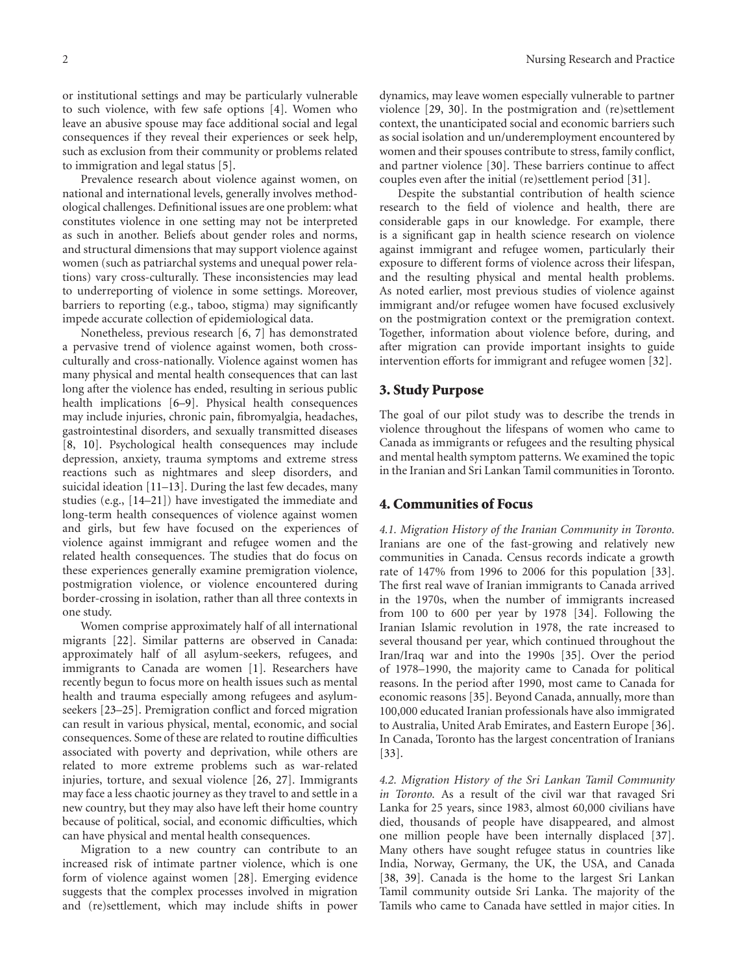or institutional settings and may be particularly vulnerable to such violence, with few safe options [4]. Women who leave an abusive spouse may face additional social and legal consequences if they reveal their experiences or seek help, such as exclusion from their community or problems related to immigration and legal status [5].

Prevalence research about violence against women, on national and international levels, generally involves methodological challenges. Definitional issues are one problem: what constitutes violence in one setting may not be interpreted as such in another. Beliefs about gender roles and norms, and structural dimensions that may support violence against women (such as patriarchal systems and unequal power relations) vary cross-culturally. These inconsistencies may lead to underreporting of violence in some settings. Moreover, barriers to reporting (e.g., taboo, stigma) may significantly impede accurate collection of epidemiological data.

Nonetheless, previous research [6, 7] has demonstrated a pervasive trend of violence against women, both crossculturally and cross-nationally. Violence against women has many physical and mental health consequences that can last long after the violence has ended, resulting in serious public health implications [6–9]. Physical health consequences may include injuries, chronic pain, fibromyalgia, headaches, gastrointestinal disorders, and sexually transmitted diseases [8, 10]. Psychological health consequences may include depression, anxiety, trauma symptoms and extreme stress reactions such as nightmares and sleep disorders, and suicidal ideation [11–13]. During the last few decades, many studies (e.g., [14–21]) have investigated the immediate and long-term health consequences of violence against women and girls, but few have focused on the experiences of violence against immigrant and refugee women and the related health consequences. The studies that do focus on these experiences generally examine premigration violence, postmigration violence, or violence encountered during border-crossing in isolation, rather than all three contexts in one study.

Women comprise approximately half of all international migrants [22]. Similar patterns are observed in Canada: approximately half of all asylum-seekers, refugees, and immigrants to Canada are women [1]. Researchers have recently begun to focus more on health issues such as mental health and trauma especially among refugees and asylumseekers [23–25]. Premigration conflict and forced migration can result in various physical, mental, economic, and social consequences. Some of these are related to routine difficulties associated with poverty and deprivation, while others are related to more extreme problems such as war-related injuries, torture, and sexual violence [26, 27]. Immigrants may face a less chaotic journey as they travel to and settle in a new country, but they may also have left their home country because of political, social, and economic difficulties, which can have physical and mental health consequences.

Migration to a new country can contribute to an increased risk of intimate partner violence, which is one form of violence against women [28]. Emerging evidence suggests that the complex processes involved in migration and (re)settlement, which may include shifts in power

dynamics, may leave women especially vulnerable to partner violence [29, 30]. In the postmigration and (re)settlement context, the unanticipated social and economic barriers such as social isolation and un/underemployment encountered by women and their spouses contribute to stress, family conflict, and partner violence [30]. These barriers continue to affect couples even after the initial (re)settlement period [31].

Despite the substantial contribution of health science research to the field of violence and health, there are considerable gaps in our knowledge. For example, there is a significant gap in health science research on violence against immigrant and refugee women, particularly their exposure to different forms of violence across their lifespan, and the resulting physical and mental health problems. As noted earlier, most previous studies of violence against immigrant and/or refugee women have focused exclusively on the postmigration context or the premigration context. Together, information about violence before, during, and after migration can provide important insights to guide intervention efforts for immigrant and refugee women [32].

#### **3. Study Purpose**

The goal of our pilot study was to describe the trends in violence throughout the lifespans of women who came to Canada as immigrants or refugees and the resulting physical and mental health symptom patterns. We examined the topic in the Iranian and Sri Lankan Tamil communities in Toronto.

#### **4. Communities of Focus**

*4.1. Migration History of the Iranian Community in Toronto.* Iranians are one of the fast-growing and relatively new communities in Canada. Census records indicate a growth rate of 147% from 1996 to 2006 for this population [33]. The first real wave of Iranian immigrants to Canada arrived in the 1970s, when the number of immigrants increased from 100 to 600 per year by 1978 [34]. Following the Iranian Islamic revolution in 1978, the rate increased to several thousand per year, which continued throughout the Iran/Iraq war and into the 1990s [35]. Over the period of 1978–1990, the majority came to Canada for political reasons. In the period after 1990, most came to Canada for economic reasons [35]. Beyond Canada, annually, more than 100,000 educated Iranian professionals have also immigrated to Australia, United Arab Emirates, and Eastern Europe [36]. In Canada, Toronto has the largest concentration of Iranians [33].

*4.2. Migration History of the Sri Lankan Tamil Community in Toronto.* As a result of the civil war that ravaged Sri Lanka for 25 years, since 1983, almost 60,000 civilians have died, thousands of people have disappeared, and almost one million people have been internally displaced [37]. Many others have sought refugee status in countries like India, Norway, Germany, the UK, the USA, and Canada [38, 39]. Canada is the home to the largest Sri Lankan Tamil community outside Sri Lanka. The majority of the Tamils who came to Canada have settled in major cities. In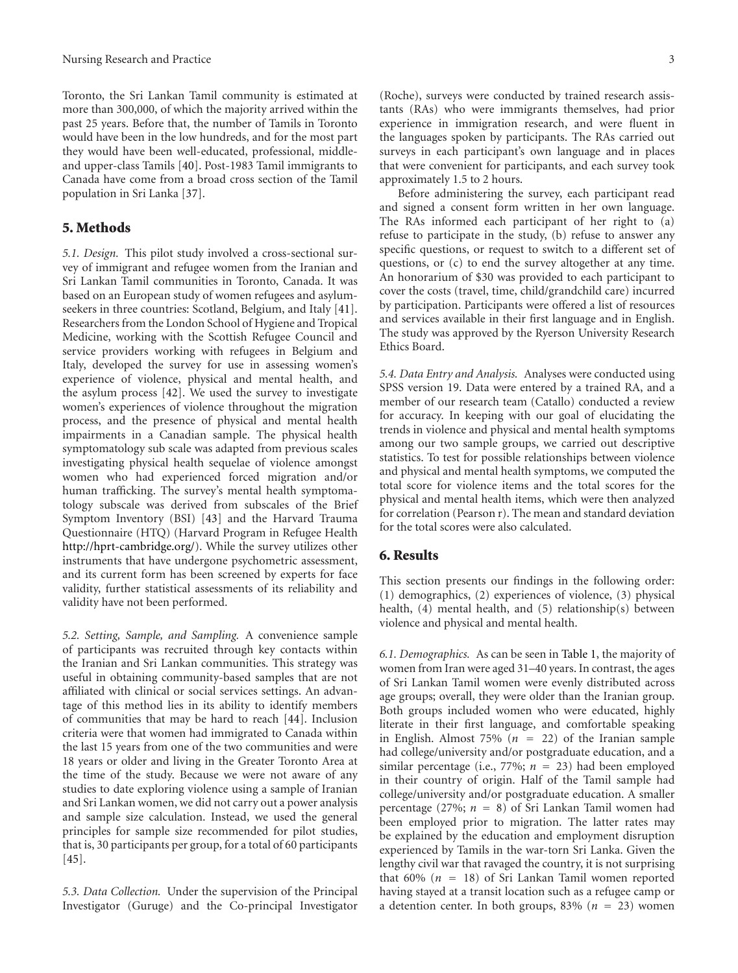Toronto, the Sri Lankan Tamil community is estimated at more than 300,000, of which the majority arrived within the past 25 years. Before that, the number of Tamils in Toronto would have been in the low hundreds, and for the most part they would have been well-educated, professional, middleand upper-class Tamils [40]. Post-1983 Tamil immigrants to Canada have come from a broad cross section of the Tamil population in Sri Lanka [37].

#### **5. Methods**

*5.1. Design.* This pilot study involved a cross-sectional survey of immigrant and refugee women from the Iranian and Sri Lankan Tamil communities in Toronto, Canada. It was based on an European study of women refugees and asylumseekers in three countries: Scotland, Belgium, and Italy [41]. Researchers from the London School of Hygiene and Tropical Medicine, working with the Scottish Refugee Council and service providers working with refugees in Belgium and Italy, developed the survey for use in assessing women's experience of violence, physical and mental health, and the asylum process [42]. We used the survey to investigate women's experiences of violence throughout the migration process, and the presence of physical and mental health impairments in a Canadian sample. The physical health symptomatology sub scale was adapted from previous scales investigating physical health sequelae of violence amongst women who had experienced forced migration and/or human trafficking. The survey's mental health symptomatology subscale was derived from subscales of the Brief Symptom Inventory (BSI) [43] and the Harvard Trauma Questionnaire (HTQ) (Harvard Program in Refugee Health http://hprt-cambridge.org/). While the survey utilizes other instruments that have undergone psychometric assessment, and its current form has been screened by experts for face validity, further statistical assessments of its reliability and validity have not been performed.

*5.2. Setting, Sample, and Sampling.* A convenience sample of participants was recruited through key contacts within the Iranian and Sri Lankan communities. This strategy was useful in obtaining community-based samples that are not affiliated with clinical or social services settings. An advantage of this method lies in its ability to identify members of communities that may be hard to reach [44]. Inclusion criteria were that women had immigrated to Canada within the last 15 years from one of the two communities and were 18 years or older and living in the Greater Toronto Area at the time of the study. Because we were not aware of any studies to date exploring violence using a sample of Iranian and Sri Lankan women, we did not carry out a power analysis and sample size calculation. Instead, we used the general principles for sample size recommended for pilot studies, that is, 30 participants per group, for a total of 60 participants [45].

*5.3. Data Collection.* Under the supervision of the Principal Investigator (Guruge) and the Co-principal Investigator

(Roche), surveys were conducted by trained research assistants (RAs) who were immigrants themselves, had prior experience in immigration research, and were fluent in the languages spoken by participants. The RAs carried out surveys in each participant's own language and in places that were convenient for participants, and each survey took approximately 1.5 to 2 hours.

Before administering the survey, each participant read and signed a consent form written in her own language. The RAs informed each participant of her right to (a) refuse to participate in the study, (b) refuse to answer any specific questions, or request to switch to a different set of questions, or (c) to end the survey altogether at any time. An honorarium of \$30 was provided to each participant to cover the costs (travel, time, child/grandchild care) incurred by participation. Participants were offered a list of resources and services available in their first language and in English. The study was approved by the Ryerson University Research Ethics Board.

*5.4. Data Entry and Analysis.* Analyses were conducted using SPSS version 19. Data were entered by a trained RA, and a member of our research team (Catallo) conducted a review for accuracy. In keeping with our goal of elucidating the trends in violence and physical and mental health symptoms among our two sample groups, we carried out descriptive statistics. To test for possible relationships between violence and physical and mental health symptoms, we computed the total score for violence items and the total scores for the physical and mental health items, which were then analyzed for correlation (Pearson r). The mean and standard deviation for the total scores were also calculated.

#### **6. Results**

This section presents our findings in the following order: (1) demographics, (2) experiences of violence, (3) physical health, (4) mental health, and (5) relationship(s) between violence and physical and mental health.

*6.1. Demographics.* As can be seen in Table 1, the majority of women from Iran were aged 31–40 years. In contrast, the ages of Sri Lankan Tamil women were evenly distributed across age groups; overall, they were older than the Iranian group. Both groups included women who were educated, highly literate in their first language, and comfortable speaking in English. Almost 75% ( $n = 22$ ) of the Iranian sample had college/university and/or postgraduate education, and a similar percentage (i.e., 77%;  $n = 23$ ) had been employed in their country of origin. Half of the Tamil sample had college/university and/or postgraduate education. A smaller percentage (27%;  $n = 8$ ) of Sri Lankan Tamil women had been employed prior to migration. The latter rates may be explained by the education and employment disruption experienced by Tamils in the war-torn Sri Lanka. Given the lengthy civil war that ravaged the country, it is not surprising that  $60\%$  ( $n = 18$ ) of Sri Lankan Tamil women reported having stayed at a transit location such as a refugee camp or a detention center. In both groups,  $83\%$  ( $n = 23$ ) women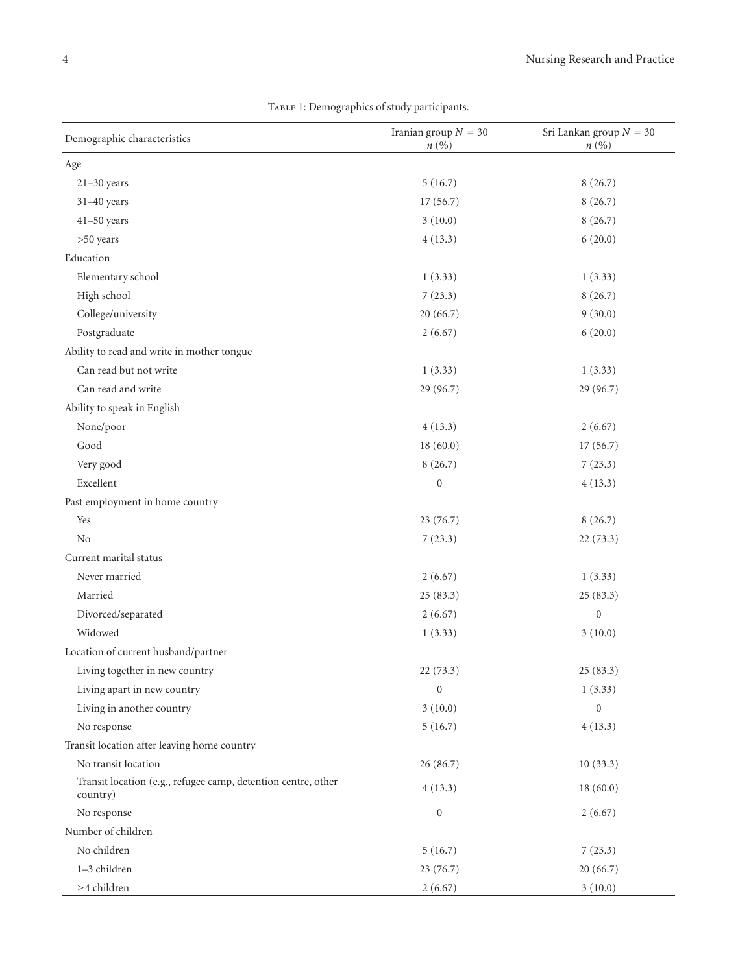| Demographic characteristics                                               | Iranian group $N = 30$<br>n(%) | Sri Lankan group $N = 30$<br>n(%) |
|---------------------------------------------------------------------------|--------------------------------|-----------------------------------|
| Age                                                                       |                                |                                   |
| $21 - 30$ years                                                           | 5(16.7)                        | 8(26.7)                           |
| $31 - 40$ years                                                           | 17(56.7)                       | 8(26.7)                           |
| $41 - 50$ years                                                           | 3(10.0)                        | 8(26.7)                           |
| >50 years                                                                 | 4(13.3)                        | 6(20.0)                           |
| Education                                                                 |                                |                                   |
| Elementary school                                                         | 1(3.33)                        | 1(3.33)                           |
| High school                                                               | 7(23.3)                        | 8(26.7)                           |
| College/university                                                        | 20(66.7)                       | 9(30.0)                           |
| Postgraduate                                                              | 2(6.67)                        | 6(20.0)                           |
| Ability to read and write in mother tongue                                |                                |                                   |
| Can read but not write                                                    | 1(3.33)                        | 1(3.33)                           |
| Can read and write                                                        | 29 (96.7)                      | 29 (96.7)                         |
| Ability to speak in English                                               |                                |                                   |
| None/poor                                                                 | 4(13.3)                        | 2(6.67)                           |
| Good                                                                      | 18(60.0)                       | 17(56.7)                          |
| Very good                                                                 | 8(26.7)                        | 7(23.3)                           |
| Excellent                                                                 | $\boldsymbol{0}$               | 4(13.3)                           |
| Past employment in home country                                           |                                |                                   |
| Yes                                                                       | 23 (76.7)                      | 8(26.7)                           |
| N <sub>o</sub>                                                            | 7(23.3)                        | 22(73.3)                          |
| Current marital status                                                    |                                |                                   |
| Never married                                                             | 2(6.67)                        | 1(3.33)                           |
| Married                                                                   | 25(83.3)                       | 25(83.3)                          |
| Divorced/separated                                                        | 2(6.67)                        | $\boldsymbol{0}$                  |
| Widowed                                                                   | 1(3.33)                        | 3(10.0)                           |
| Location of current husband/partner                                       |                                |                                   |
| Living together in new country                                            | 22 (73.3)                      | 25(83.3)                          |
| Living apart in new country                                               | $\boldsymbol{0}$               | 1(3.33)                           |
| Living in another country                                                 | 3(10.0)                        | $\boldsymbol{0}$                  |
| No response                                                               | 5(16.7)                        | 4(13.3)                           |
| Transit location after leaving home country                               |                                |                                   |
| No transit location                                                       | 26(86.7)                       | 10(33.3)                          |
| Transit location (e.g., refugee camp, detention centre, other<br>country) | 4(13.3)                        | 18(60.0)                          |
| No response                                                               | $\boldsymbol{0}$               | 2(6.67)                           |
| Number of children                                                        |                                |                                   |
| No children                                                               | 5(16.7)                        | 7(23.3)                           |
| 1-3 children                                                              | 23 (76.7)                      | 20 (66.7)                         |

 $\geq 4$  children  $2(6.67)$  3 (10.0)

TABLE 1: Demographics of study participants.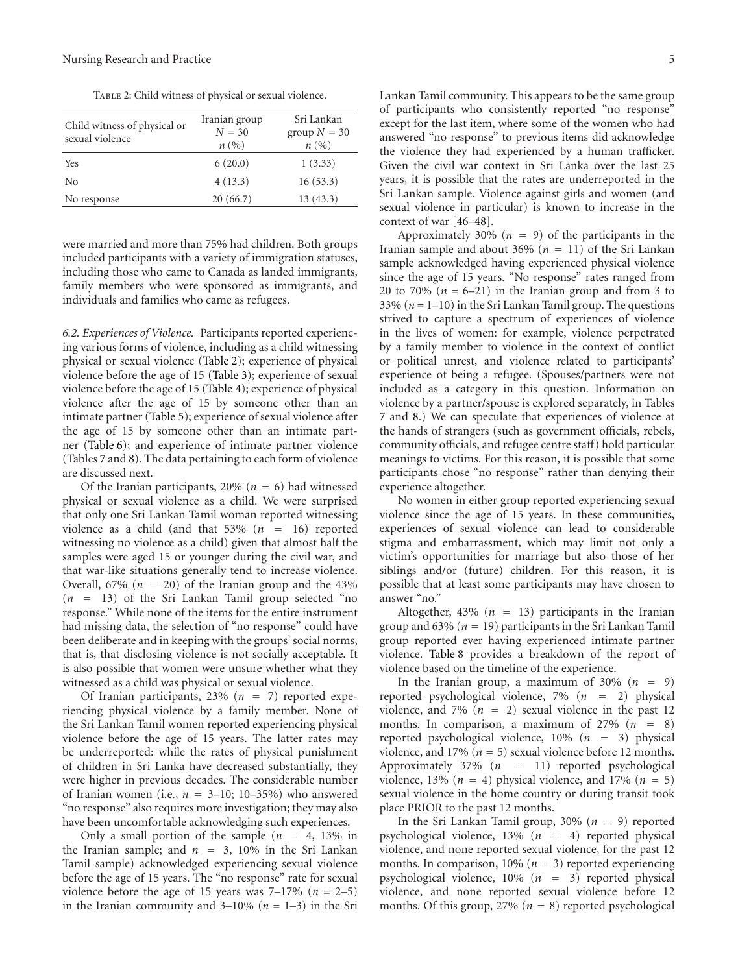TABLE 2: Child witness of physical or sexual violence.

| Child witness of physical or<br>sexual violence | Iranian group<br>$N = 30$<br>n(%) | Sri Lankan<br>group $N = 30$<br>n(%) |
|-------------------------------------------------|-----------------------------------|--------------------------------------|
| Yes                                             | 6(20.0)                           | 1(3.33)                              |
| No                                              | 4(13.3)                           | 16(53.3)                             |
| No response                                     | 20(66.7)                          | 13(43.3)                             |

were married and more than 75% had children. Both groups included participants with a variety of immigration statuses, including those who came to Canada as landed immigrants, family members who were sponsored as immigrants, and individuals and families who came as refugees.

*6.2. Experiences of Violence.* Participants reported experiencing various forms of violence, including as a child witnessing physical or sexual violence (Table 2); experience of physical violence before the age of 15 (Table 3); experience of sexual violence before the age of 15 (Table 4); experience of physical violence after the age of 15 by someone other than an intimate partner (Table 5); experience of sexual violence after the age of 15 by someone other than an intimate partner (Table 6); and experience of intimate partner violence (Tables 7 and 8). The data pertaining to each form of violence are discussed next.

Of the Iranian participants,  $20\%$  ( $n = 6$ ) had witnessed physical or sexual violence as a child. We were surprised that only one Sri Lankan Tamil woman reported witnessing violence as a child (and that 53% (*<sup>n</sup>* <sup>=</sup> 16) reported witnessing no violence as a child) given that almost half the samples were aged 15 or younger during the civil war, and that war-like situations generally tend to increase violence. Overall,  $67\%$  ( $n = 20$ ) of the Iranian group and the  $43\%$ (*<sup>n</sup>* <sup>=</sup> 13) of the Sri Lankan Tamil group selected "no response." While none of the items for the entire instrument had missing data, the selection of "no response" could have been deliberate and in keeping with the groups' social norms, that is, that disclosing violence is not socially acceptable. It is also possible that women were unsure whether what they witnessed as a child was physical or sexual violence.

Of Iranian participants, 23% (*<sup>n</sup>* <sup>=</sup> 7) reported experiencing physical violence by a family member. None of the Sri Lankan Tamil women reported experiencing physical violence before the age of 15 years. The latter rates may be underreported: while the rates of physical punishment of children in Sri Lanka have decreased substantially, they were higher in previous decades. The considerable number of Iranian women (i.e.,  $n = 3{\text -}10$ ; 10–35%) who answered "no response" also requires more investigation; they may also have been uncomfortable acknowledging such experiences.

Only a small portion of the sample  $(n = 4, 13\%)$  in the Iranian sample; and  $n = 3$ , 10% in the Sri Lankan Tamil sample) acknowledged experiencing sexual violence before the age of 15 years. The "no response" rate for sexual violence before the age of 15 years was  $7-17\%$  ( $n = 2-5$ ) in the Iranian community and  $3-10\%$  ( $n = 1-3$ ) in the Sri Lankan Tamil community. This appears to be the same group of participants who consistently reported "no response" except for the last item, where some of the women who had answered "no response" to previous items did acknowledge the violence they had experienced by a human trafficker. Given the civil war context in Sri Lanka over the last 25 years, it is possible that the rates are underreported in the Sri Lankan sample. Violence against girls and women (and sexual violence in particular) is known to increase in the context of war [46–48].

Approximately 30%  $(n = 9)$  of the participants in the Iranian sample and about 36% (*<sup>n</sup>* <sup>=</sup> 11) of the Sri Lankan sample acknowledged having experienced physical violence since the age of 15 years. "No response" rates ranged from 20 to 70%  $(n = 6-21)$  in the Iranian group and from 3 to 33% ( $n = 1-10$ ) in the Sri Lankan Tamil group. The questions strived to capture a spectrum of experiences of violence in the lives of women: for example, violence perpetrated by a family member to violence in the context of conflict or political unrest, and violence related to participants' experience of being a refugee. (Spouses/partners were not included as a category in this question. Information on violence by a partner/spouse is explored separately, in Tables 7 and 8.) We can speculate that experiences of violence at the hands of strangers (such as government officials, rebels, community officials, and refugee centre staff) hold particular meanings to victims. For this reason, it is possible that some participants chose "no response" rather than denying their experience altogether.

No women in either group reported experiencing sexual violence since the age of 15 years. In these communities, experiences of sexual violence can lead to considerable stigma and embarrassment, which may limit not only a victim's opportunities for marriage but also those of her siblings and/or (future) children. For this reason, it is possible that at least some participants may have chosen to answer "no."

Altogether,  $43\%$  ( $n = 13$ ) participants in the Iranian group and  $63\%$  ( $n = 19$ ) participants in the Sri Lankan Tamil group reported ever having experienced intimate partner violence. Table 8 provides a breakdown of the report of violence based on the timeline of the experience.

In the Iranian group, a maximum of  $30\%$  ( $n = 9$ ) reported psychological violence, 7% (*<sup>n</sup>* <sup>=</sup> 2) physical violence, and 7%  $(n = 2)$  sexual violence in the past 12 months. In comparison, a maximum of  $27\%$  ( $n = 8$ ) reported psychological violence, 10% (*<sup>n</sup>* <sup>=</sup> 3) physical violence, and  $17\%$  ( $n = 5$ ) sexual violence before 12 months. Approximately 37% (*<sup>n</sup>* <sup>=</sup> 11) reported psychological violence, 13% ( $n = 4$ ) physical violence, and 17% ( $n = 5$ ) sexual violence in the home country or during transit took place PRIOR to the past 12 months.

In the Sri Lankan Tamil group, 30% (*<sup>n</sup>* <sup>=</sup> 9) reported psychological violence, 13% (*<sup>n</sup>* <sup>=</sup> 4) reported physical violence, and none reported sexual violence, for the past 12 months. In comparison, 10% (*<sup>n</sup>* <sup>=</sup> 3) reported experiencing psychological violence, 10% (*<sup>n</sup>* <sup>=</sup> 3) reported physical violence, and none reported sexual violence before 12 months. Of this group,  $27\%$  ( $n = 8$ ) reported psychological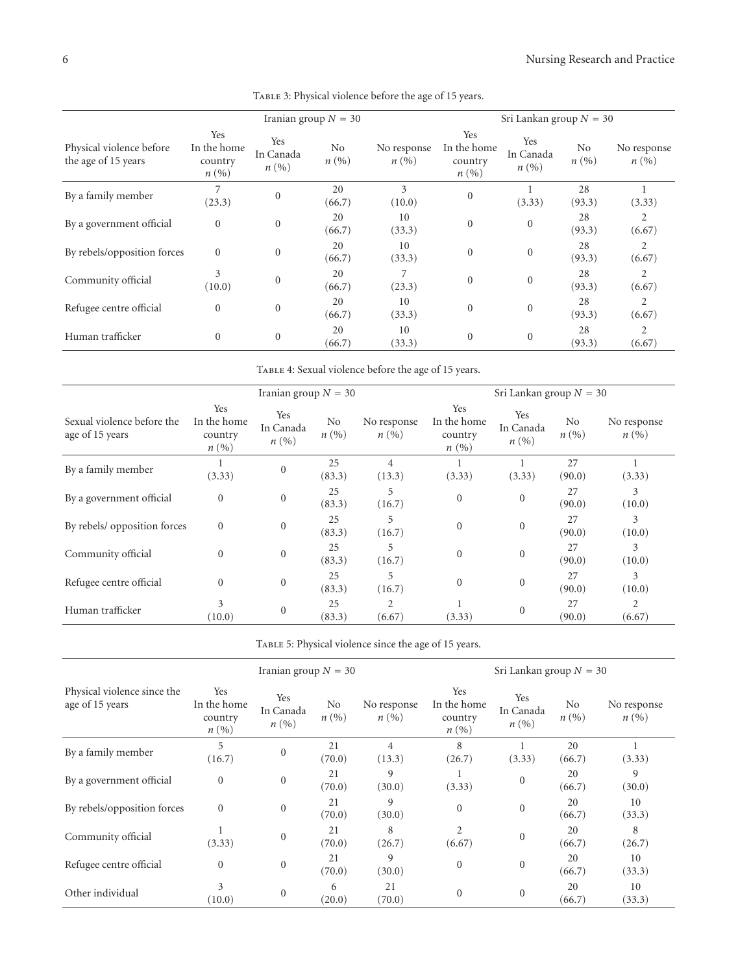|                                                 |                                       |                          | Iranian group $N = 30$ |                     |                                                              | Sri Lankan group $N = 30$ |              |                                   |
|-------------------------------------------------|---------------------------------------|--------------------------|------------------------|---------------------|--------------------------------------------------------------|---------------------------|--------------|-----------------------------------|
| Physical violence before<br>the age of 15 years | Yes<br>In the home<br>country<br>n(%) | Yes<br>In Canada<br>n(%) | No<br>n(%)             | No response<br>n(%) | Yes<br>In the home<br>country<br>$n\left(\frac{0}{0}\right)$ | Yes<br>In Canada<br>n(%)  | No<br>n(%)   | No response<br>$n\left(\%\right)$ |
| By a family member                              | (23.3)                                | $\boldsymbol{0}$         | 20<br>(66.7)           | 3<br>(10.0)         | $\mathbf{0}$                                                 | (3.33)                    | 28<br>(93.3) | (3.33)                            |
| By a government official                        | $\overline{0}$                        | $\boldsymbol{0}$         | 20<br>(66.7)           | 10<br>(33.3)        | $\overline{0}$                                               | $\overline{0}$            | 28<br>(93.3) | 2<br>(6.67)                       |
| By rebels/opposition forces                     | $\overline{0}$                        | $\mathbf{0}$             | 20<br>(66.7)           | 10<br>(33.3)        | $\overline{0}$                                               | $\overline{0}$            | 28<br>(93.3) | 2<br>(6.67)                       |
| Community official                              | 3<br>(10.0)                           | $\boldsymbol{0}$         | 20<br>(66.7)           | (23.3)              | $\overline{0}$                                               | $\overline{0}$            | 28<br>(93.3) | 2<br>(6.67)                       |
| Refugee centre official                         | $\overline{0}$                        | $\boldsymbol{0}$         | 20<br>(66.7)           | 10<br>(33.3)        | $\overline{0}$                                               | $\mathbf{0}$              | 28<br>(93.3) | 2<br>(6.67)                       |
| Human trafficker                                | $\Omega$                              | $\mathbf{0}$             | 20<br>(66.7)           | 10<br>(33.3)        | $\overline{0}$                                               | $\mathbf{0}$              | 28<br>(93.3) | 2<br>(6.67)                       |

TABLE 3: Physical violence before the age of 15 years.

| TABLE 4: Sexual violence before the age of 15 years. |  |  |  |
|------------------------------------------------------|--|--|--|
|------------------------------------------------------|--|--|--|

|                                               |                                       | Iranian group $N = 30$                 |              |                                            |                                       | Sri Lankan group $N = 30$ |                                    |                     |
|-----------------------------------------------|---------------------------------------|----------------------------------------|--------------|--------------------------------------------|---------------------------------------|---------------------------|------------------------------------|---------------------|
| Sexual violence before the<br>age of 15 years | Yes<br>In the home<br>country<br>n(%) | Yes<br>In Canada<br>$n\left(\%\right)$ | No<br>n(%)   | No response<br>$n\left(\frac{0}{0}\right)$ | Yes<br>In the home<br>country<br>n(%) | Yes<br>In Canada<br>n(%)  | No.<br>$n\left(\frac{0}{0}\right)$ | No response<br>n(%) |
| By a family member                            | (3.33)                                | $\mathbf{0}$                           | 25<br>(83.3) | 4<br>(13.3)                                | (3.33)                                | (3.33)                    | 27<br>(90.0)                       | (3.33)              |
| By a government official                      | $\overline{0}$                        | $\boldsymbol{0}$                       | 25<br>(83.3) | 5<br>(16.7)                                | $\mathbf{0}$                          | $\boldsymbol{0}$          | 27<br>(90.0)                       | 3<br>(10.0)         |
| By rebels/ opposition forces                  | $\overline{0}$                        | $\overline{0}$                         | 25<br>(83.3) | 5<br>(16.7)                                | $\mathbf{0}$                          | $\boldsymbol{0}$          | 27<br>(90.0)                       | 3<br>(10.0)         |
| Community official                            | $\theta$                              | $\mathbf{0}$                           | 25<br>(83.3) | 5<br>(16.7)                                | $\mathbf{0}$                          | $\overline{0}$            | 27<br>(90.0)                       | 3<br>(10.0)         |
| Refugee centre official                       | $\Omega$                              | $\mathbf{0}$                           | 25<br>(83.3) | 5<br>(16.7)                                | $\overline{0}$                        | $\boldsymbol{0}$          | 27<br>(90.0)                       | 3<br>(10.0)         |
| Human trafficker                              | 3<br>(10.0)                           | $\boldsymbol{0}$                       | 25<br>(83.3) | $\overline{2}$<br>(6.67)                   | (3.33)                                | $\mathbf{0}$              | 27<br>(90.0)                       | (6.67)              |

TABLE 5: Physical violence since the age of 15 years.

|                                                |                                       | Iranian group $N = 30$                 |              |                                            |                                       | Sri Lankan group $N = 30$              |                          |                                   |  |
|------------------------------------------------|---------------------------------------|----------------------------------------|--------------|--------------------------------------------|---------------------------------------|----------------------------------------|--------------------------|-----------------------------------|--|
| Physical violence since the<br>age of 15 years | Yes<br>In the home<br>country<br>n(%) | Yes<br>In Canada<br>$n\left(\%\right)$ | No<br>n(%)   | No response<br>$n\left(\frac{0}{0}\right)$ | Yes<br>In the home<br>country<br>n(%) | Yes<br>In Canada<br>$n\left(\%\right)$ | No<br>$n\left(\%\right)$ | No response<br>$n\left(\%\right)$ |  |
| By a family member                             | 5<br>(16.7)                           | $\mathbf{0}$                           | 21<br>(70.0) | 4<br>(13.3)                                | 8<br>(26.7)                           | (3.33)                                 | 20<br>(66.7)             | (3.33)                            |  |
| By a government official                       | $\overline{0}$                        | $\mathbf{0}$                           | 21<br>(70.0) | 9<br>(30.0)                                | (3.33)                                | $\mathbf{0}$                           | 20<br>(66.7)             | 9<br>(30.0)                       |  |
| By rebels/opposition forces                    | $\overline{0}$                        | $\mathbf{0}$                           | 21<br>(70.0) | 9<br>(30.0)                                | $\mathbf{0}$                          | $\mathbf{0}$                           | 20<br>(66.7)             | 10<br>(33.3)                      |  |
| Community official                             | (3.33)                                | $\overline{0}$                         | 21<br>(70.0) | 8<br>(26.7)                                | $\overline{c}$<br>(6.67)              | $\mathbf{0}$                           | 20<br>(66.7)             | 8<br>(26.7)                       |  |
| Refugee centre official                        | $\mathbf{0}$                          | $\mathbf{0}$                           | 21<br>(70.0) | 9<br>(30.0)                                | $\boldsymbol{0}$                      | $\mathbf{0}$                           | 20<br>(66.7)             | 10<br>(33.3)                      |  |
| Other individual                               | 3<br>(10.0)                           | $\mathbf{0}$                           | 6<br>(20.0)  | 21<br>(70.0)                               | $\mathbf{0}$                          | $\mathbf{0}$                           | 20<br>(66.7)             | 10<br>(33.3)                      |  |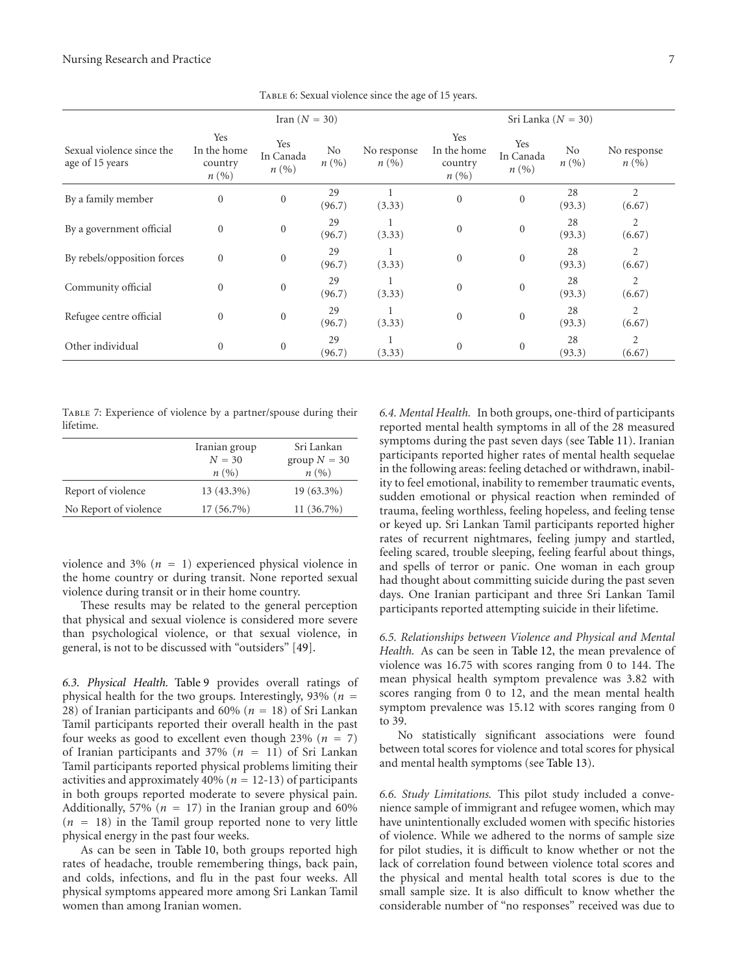|                                              | Iran $(N = 30)$                       |                          |                        | Sri Lanka ( $N = 30$ ) |                                                     |                          |                          |                          |
|----------------------------------------------|---------------------------------------|--------------------------|------------------------|------------------------|-----------------------------------------------------|--------------------------|--------------------------|--------------------------|
| Sexual violence since the<br>age of 15 years | Yes<br>In the home<br>country<br>n(%) | Yes<br>In Canada<br>n(%) | N <sub>o</sub><br>n(%) | No response<br>n(%)    | Yes<br>In the home<br>country<br>$n\left(\%\right)$ | Yes<br>In Canada<br>n(%) | No<br>$n\left(\%\right)$ | No response<br>n(%)      |
| By a family member                           | $\boldsymbol{0}$                      | $\mathbf{0}$             | 29<br>(96.7)           | (3.33)                 | $\mathbf{0}$                                        | $\boldsymbol{0}$         | 28<br>(93.3)             | 2<br>(6.67)              |
| By a government official                     | $\boldsymbol{0}$                      | $\mathbf{0}$             | 29<br>(96.7)           | (3.33)                 | $\mathbf{0}$                                        | $\boldsymbol{0}$         | 28<br>(93.3)             | 2<br>(6.67)              |
| By rebels/opposition forces                  | $\mathbf{0}$                          | $\mathbf{0}$             | 29<br>(96.7)           | (3.33)                 | $\mathbf{0}$                                        | $\boldsymbol{0}$         | 28<br>(93.3)             | $\overline{c}$<br>(6.67) |
| Community official                           | $\overline{0}$                        | $\mathbf{0}$             | 29<br>(96.7)           | (3.33)                 | $\mathbf{0}$                                        | $\boldsymbol{0}$         | 28<br>(93.3)             | 2<br>(6.67)              |
| Refugee centre official                      | $\mathbf{0}$                          | $\mathbf{0}$             | 29<br>(96.7)           | (3.33)                 | $\mathbf{0}$                                        | $\boldsymbol{0}$         | 28<br>(93.3)             | 2<br>(6.67)              |
| Other individual                             | $\overline{0}$                        | $\mathbf{0}$             | 29<br>(96.7)           | (3.33)                 | $\mathbf{0}$                                        | $\boldsymbol{0}$         | 28<br>(93.3)             | $\overline{2}$<br>(6.67) |

TABLE 6: Sexual violence since the age of 15 years.

Table 7: Experience of violence by a partner/spouse during their lifetime.

|                       | Iranian group<br>$N = 30$<br>n(96) | Sri Lankan<br>group $N = 30$<br>n(96) |
|-----------------------|------------------------------------|---------------------------------------|
| Report of violence    | 13 (43.3%)                         | 19 (63.3%)                            |
| No Report of violence | $17(56.7\%)$                       | $11(36.7\%)$                          |

violence and 3%  $(n = 1)$  experienced physical violence in the home country or during transit. None reported sexual violence during transit or in their home country.

These results may be related to the general perception that physical and sexual violence is considered more severe than psychological violence, or that sexual violence, in general, is not to be discussed with "outsiders" [49].

*6.3. Physical Health.* Table 9 provides overall ratings of physical health for the two groups. Interestingly, 93% (*<sup>n</sup>* <sup>=</sup> 28) of Iranian participants and 60% (*<sup>n</sup>* <sup>=</sup> 18) of Sri Lankan Tamil participants reported their overall health in the past four weeks as good to excellent even though  $23\%$  ( $n = 7$ ) of Iranian participants and 37% (*<sup>n</sup>* <sup>=</sup> 11) of Sri Lankan Tamil participants reported physical problems limiting their activities and approximately  $40\%$  ( $n = 12-13$ ) of participants in both groups reported moderate to severe physical pain. Additionally, 57% ( $n = 17$ ) in the Iranian group and 60%  $(n = 18)$  in the Tamil group reported none to very little physical energy in the past four weeks.

As can be seen in Table 10, both groups reported high rates of headache, trouble remembering things, back pain, and colds, infections, and flu in the past four weeks. All physical symptoms appeared more among Sri Lankan Tamil women than among Iranian women.

*6.4. Mental Health.* In both groups, one-third of participants reported mental health symptoms in all of the 28 measured symptoms during the past seven days (see Table 11). Iranian participants reported higher rates of mental health sequelae in the following areas: feeling detached or withdrawn, inability to feel emotional, inability to remember traumatic events, sudden emotional or physical reaction when reminded of trauma, feeling worthless, feeling hopeless, and feeling tense or keyed up. Sri Lankan Tamil participants reported higher rates of recurrent nightmares, feeling jumpy and startled, feeling scared, trouble sleeping, feeling fearful about things, and spells of terror or panic. One woman in each group had thought about committing suicide during the past seven days. One Iranian participant and three Sri Lankan Tamil participants reported attempting suicide in their lifetime.

*6.5. Relationships between Violence and Physical and Mental Health.* As can be seen in Table 12, the mean prevalence of violence was 16.75 with scores ranging from 0 to 144. The mean physical health symptom prevalence was 3.82 with scores ranging from 0 to 12, and the mean mental health symptom prevalence was 15.12 with scores ranging from 0 to 39.

No statistically significant associations were found between total scores for violence and total scores for physical and mental health symptoms (see Table 13).

*6.6. Study Limitations.* This pilot study included a convenience sample of immigrant and refugee women, which may have unintentionally excluded women with specific histories of violence. While we adhered to the norms of sample size for pilot studies, it is difficult to know whether or not the lack of correlation found between violence total scores and the physical and mental health total scores is due to the small sample size. It is also difficult to know whether the considerable number of "no responses" received was due to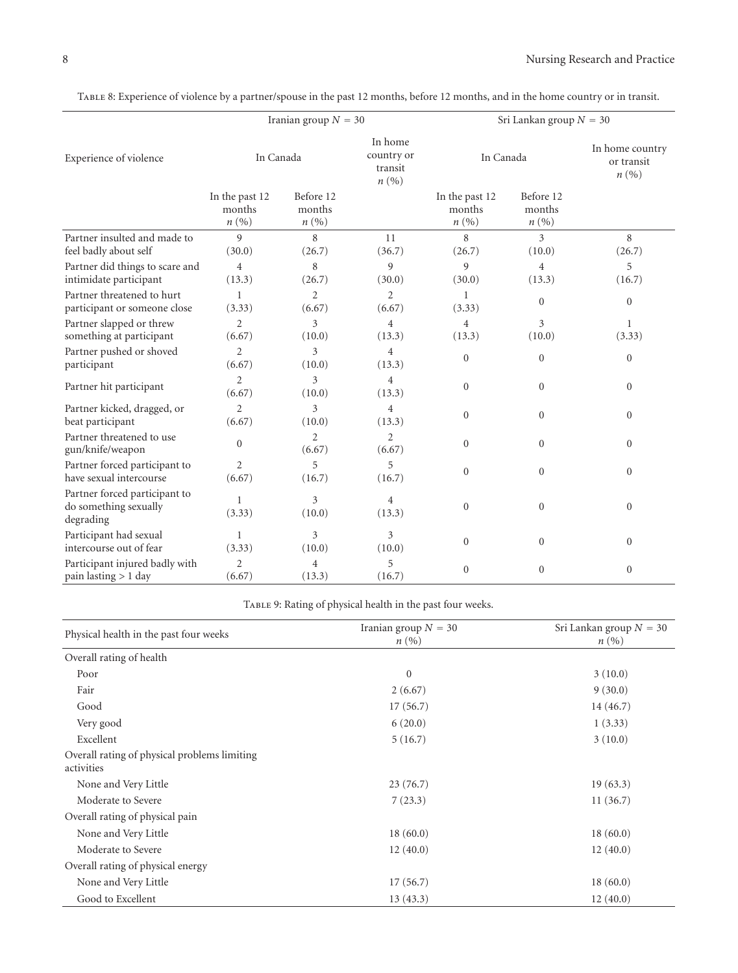Table 8: Experience of violence by a partner/spouse in the past 12 months, before 12 months, and in the home country or in transit.

|                                                                     |                                  | Iranian group $N = 30$      |                                          | Sri Lankan group $N = 30$        |                             |                                                              |  |
|---------------------------------------------------------------------|----------------------------------|-----------------------------|------------------------------------------|----------------------------------|-----------------------------|--------------------------------------------------------------|--|
| Experience of violence                                              | In Canada                        |                             | In home<br>country or<br>transit<br>n(%) | In Canada                        |                             | In home country<br>or transit<br>$n\left(\frac{0}{0}\right)$ |  |
|                                                                     | In the past 12<br>months<br>n(%) | Before 12<br>months<br>n(%) |                                          | In the past 12<br>months<br>n(%) | Before 12<br>months<br>n(%) |                                                              |  |
| Partner insulted and made to<br>feel badly about self               | 9<br>(30.0)                      | 8<br>(26.7)                 | 11<br>(36.7)                             | 8<br>(26.7)                      | 3<br>(10.0)                 | 8<br>(26.7)                                                  |  |
| Partner did things to scare and<br>intimidate participant           | $\overline{4}$<br>(13.3)         | 8<br>(26.7)                 | 9<br>(30.0)                              | 9<br>(30.0)                      | 4<br>(13.3)                 | 5<br>(16.7)                                                  |  |
| Partner threatened to hurt<br>participant or someone close          | $\mathbf{1}$<br>(3.33)           | $\overline{2}$<br>(6.67)    | $\overline{2}$<br>(6.67)                 | $\mathbf{1}$<br>(3.33)           | $\boldsymbol{0}$            | $\boldsymbol{0}$                                             |  |
| Partner slapped or threw<br>something at participant                | $\overline{c}$<br>(6.67)         | 3<br>(10.0)                 | 4<br>(13.3)                              | $\overline{4}$<br>(13.3)         | 3<br>(10.0)                 | 1<br>(3.33)                                                  |  |
| Partner pushed or shoved<br>participant                             | $\overline{2}$<br>(6.67)         | 3<br>(10.0)                 | $\overline{4}$<br>(13.3)                 | $\boldsymbol{0}$                 | $\boldsymbol{0}$            | $\boldsymbol{0}$                                             |  |
| Partner hit participant                                             | $\overline{2}$<br>(6.67)         | 3<br>(10.0)                 | $\overline{4}$<br>(13.3)                 | $\boldsymbol{0}$                 | $\boldsymbol{0}$            | $\boldsymbol{0}$                                             |  |
| Partner kicked, dragged, or<br>beat participant                     | $\overline{2}$<br>(6.67)         | 3<br>(10.0)                 | $\overline{4}$<br>(13.3)                 | $\mathbf{0}$                     | $\mathbf{0}$                | $\boldsymbol{0}$                                             |  |
| Partner threatened to use<br>gun/knife/weapon                       | $\mathbf{0}$                     | $\overline{2}$<br>(6.67)    | $\overline{2}$<br>(6.67)                 | $\mathbf{0}$                     | $\mathbf{0}$                | $\boldsymbol{0}$                                             |  |
| Partner forced participant to<br>have sexual intercourse            | $\overline{2}$<br>(6.67)         | 5<br>(16.7)                 | 5<br>(16.7)                              | $\mathbf{0}$                     | $\mathbf{0}$                | $\mathbf{0}$                                                 |  |
| Partner forced participant to<br>do something sexually<br>degrading | 1<br>(3.33)                      | 3<br>(10.0)                 | 4<br>(13.3)                              | $\mathbf{0}$                     | $\mathbf{0}$                | $\boldsymbol{0}$                                             |  |
| Participant had sexual<br>intercourse out of fear                   | 1<br>(3.33)                      | 3<br>(10.0)                 | 3<br>(10.0)                              | $\mathbf{0}$                     | $\mathbf{0}$                | $\mathbf{0}$                                                 |  |
| Participant injured badly with<br>pain lasting $> 1$ day            | $\overline{2}$<br>(6.67)         | $\overline{4}$<br>(13.3)    | 5<br>(16.7)                              | $\mathbf{0}$                     | $\mathbf{0}$                | $\boldsymbol{0}$                                             |  |

TABLE 9: Rating of physical health in the past four weeks.

| Physical health in the past four weeks                     | Iranian group $N = 30$<br>n(%) | Sri Lankan group $N = 30$<br>n(%) |
|------------------------------------------------------------|--------------------------------|-----------------------------------|
| Overall rating of health                                   |                                |                                   |
| Poor                                                       | $\mathbf{0}$                   | 3(10.0)                           |
| Fair                                                       | 2(6.67)                        | 9(30.0)                           |
| Good                                                       | 17(56.7)                       | 14(46.7)                          |
| Very good                                                  | 6(20.0)                        | 1(3.33)                           |
| Excellent                                                  | 5(16.7)                        | 3(10.0)                           |
| Overall rating of physical problems limiting<br>activities |                                |                                   |
| None and Very Little                                       | 23(76.7)                       | 19(63.3)                          |
| Moderate to Severe                                         | 7(23.3)                        | 11(36.7)                          |
| Overall rating of physical pain                            |                                |                                   |
| None and Very Little                                       | 18(60.0)                       | 18(60.0)                          |
| Moderate to Severe                                         | 12(40.0)                       | 12(40.0)                          |
| Overall rating of physical energy                          |                                |                                   |
| None and Very Little                                       | 17(56.7)                       | 18(60.0)                          |
| Good to Excellent                                          | 13(43.3)                       | 12(40.0)                          |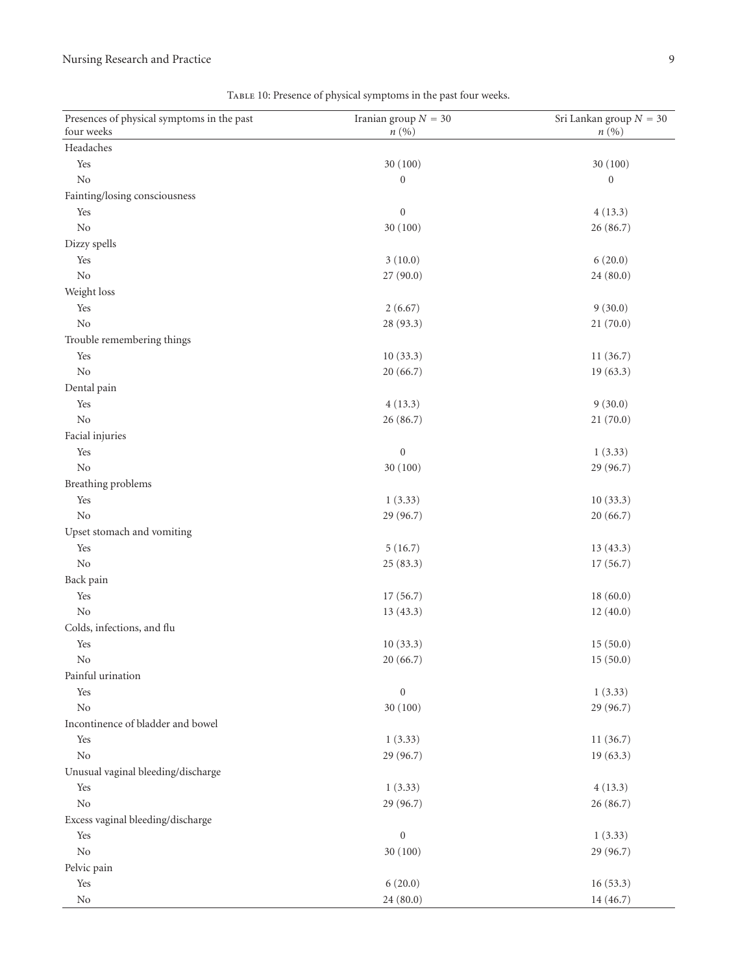## Nursing Research and Practice 9

| Presences of physical symptoms in the past<br>four weeks | Iranian group $N = 30$<br>n(%) | Sri Lankan group $N = 30$<br>n(%) |
|----------------------------------------------------------|--------------------------------|-----------------------------------|
| Headaches                                                |                                |                                   |
| Yes                                                      | 30 (100)                       | 30 (100)                          |
| $\rm No$                                                 | $\boldsymbol{0}$               | $\boldsymbol{0}$                  |
| Fainting/losing consciousness                            |                                |                                   |
| Yes                                                      | $\boldsymbol{0}$               | 4(13.3)                           |
| $\rm No$                                                 | 30 (100)                       | 26 (86.7)                         |
| Dizzy spells                                             |                                |                                   |
| Yes                                                      | 3(10.0)                        | 6(20.0)                           |
| $\rm No$                                                 | 27 (90.0)                      | 24(80.0)                          |
| Weight loss                                              |                                |                                   |
| Yes                                                      | 2(6.67)                        | 9(30.0)                           |
| No                                                       | 28 (93.3)                      | 21(70.0)                          |
| Trouble remembering things                               |                                |                                   |
| Yes                                                      | 10(33.3)                       | 11(36.7)                          |
| $\rm No$                                                 | 20(66.7)                       | 19(63.3)                          |
| Dental pain                                              |                                |                                   |
| Yes                                                      | 4(13.3)                        | 9(30.0)                           |
| $\rm No$                                                 | 26(86.7)                       | 21(70.0)                          |
| Facial injuries                                          |                                |                                   |
| Yes                                                      | $\boldsymbol{0}$               | 1(3.33)                           |
| $\rm No$                                                 | 30 (100)                       | 29 (96.7)                         |
|                                                          |                                |                                   |
| Breathing problems                                       |                                |                                   |
| Yes<br>No                                                | 1(3.33)                        | 10(33.3)                          |
|                                                          | 29 (96.7)                      | 20(66.7)                          |
| Upset stomach and vomiting                               |                                |                                   |
| Yes                                                      | 5(16.7)                        | 13(43.3)                          |
| $\rm No$                                                 | 25(83.3)                       | 17(56.7)                          |
| Back pain                                                |                                |                                   |
| Yes                                                      | 17(56.7)                       | 18(60.0)                          |
| $\rm No$                                                 | 13(43.3)                       | 12(40.0)                          |
| Colds, infections, and flu                               |                                |                                   |
| Yes                                                      | 10(33.3)                       | 15(50.0)                          |
| No                                                       | 20(66.7)                       | 15(50.0)                          |
| Painful urination                                        |                                |                                   |
| Yes                                                      | $\boldsymbol{0}$               | 1(3.33)                           |
| $\rm No$                                                 | 30 (100)                       | 29 (96.7)                         |
| Incontinence of bladder and bowel                        |                                |                                   |
| Yes                                                      | 1(3.33)                        | 11(36.7)                          |
| No                                                       | 29 (96.7)                      | 19(63.3)                          |
| Unusual vaginal bleeding/discharge                       |                                |                                   |
| Yes                                                      | 1(3.33)                        | 4(13.3)                           |
| $\rm No$                                                 | 29 (96.7)                      | 26(86.7)                          |
| Excess vaginal bleeding/discharge                        |                                |                                   |
| Yes                                                      | $\boldsymbol{0}$               | 1(3.33)                           |
| $\rm No$                                                 | 30 (100)                       | 29 (96.7)                         |
| Pelvic pain                                              |                                |                                   |
| Yes                                                      | 6(20.0)                        | 16(53.3)                          |
| $\rm No$                                                 | 24 (80.0)                      | 14 (46.7)                         |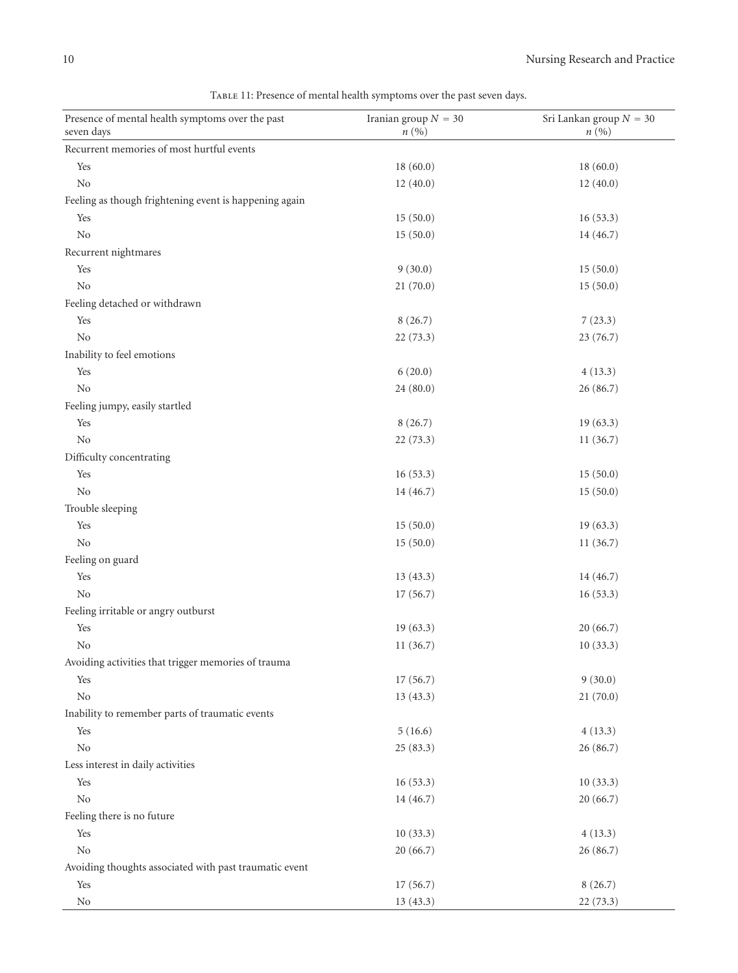| Presence of mental health symptoms over the past<br>seven days | Iranian group $N = 30$<br>n(%) | Sri Lankan group $N = 30$<br>n(%) |  |  |
|----------------------------------------------------------------|--------------------------------|-----------------------------------|--|--|
| Recurrent memories of most hurtful events                      |                                |                                   |  |  |
| Yes                                                            | 18(60.0)                       | 18(60.0)                          |  |  |
| $\rm No$                                                       | 12(40.0)                       | 12(40.0)                          |  |  |
| Feeling as though frightening event is happening again         |                                |                                   |  |  |
| Yes                                                            | 15(50.0)                       | 16(53.3)                          |  |  |
| $\rm No$                                                       | 15(50.0)                       | 14(46.7)                          |  |  |
| Recurrent nightmares                                           |                                |                                   |  |  |
| Yes                                                            | 9(30.0)                        | 15(50.0)                          |  |  |
| $\rm No$                                                       | 21(70.0)                       | 15(50.0)                          |  |  |
| Feeling detached or withdrawn                                  |                                |                                   |  |  |
| Yes                                                            | 8(26.7)                        | 7(23.3)                           |  |  |
| $\rm No$                                                       | 22 (73.3)                      | 23 (76.7)                         |  |  |
| Inability to feel emotions                                     |                                |                                   |  |  |
| Yes                                                            | 6(20.0)                        | 4(13.3)                           |  |  |
| $\rm No$                                                       | 24(80.0)                       | 26 (86.7)                         |  |  |
| Feeling jumpy, easily startled                                 |                                |                                   |  |  |
| Yes                                                            | 8(26.7)                        | 19(63.3)                          |  |  |
| $\rm No$                                                       | 22(73.3)                       | 11(36.7)                          |  |  |
| Difficulty concentrating                                       |                                |                                   |  |  |
| Yes                                                            | 16(53.3)                       | 15(50.0)                          |  |  |
| No                                                             | 14(46.7)                       | 15(50.0)                          |  |  |
| Trouble sleeping                                               |                                |                                   |  |  |
| Yes                                                            | 15(50.0)                       | 19(63.3)                          |  |  |
| No                                                             | 15(50.0)                       | 11(36.7)                          |  |  |
| Feeling on guard                                               |                                |                                   |  |  |
| Yes                                                            | 13 (43.3)                      | 14 (46.7)                         |  |  |
| $\rm No$                                                       | 17(56.7)                       | 16(53.3)                          |  |  |
| Feeling irritable or angry outburst                            |                                |                                   |  |  |
| Yes                                                            | 19(63.3)                       | 20(66.7)                          |  |  |
| $\rm No$                                                       | 11(36.7)                       | 10(33.3)                          |  |  |
| Avoiding activities that trigger memories of trauma            |                                |                                   |  |  |
| Yes                                                            | 17(56.7)                       | 9(30.0)                           |  |  |
| No                                                             | 13(43.3)                       | 21(70.0)                          |  |  |
| Inability to remember parts of traumatic events                |                                |                                   |  |  |
| Yes                                                            | 5(16.6)                        | 4(13.3)                           |  |  |
| $\rm No$                                                       | 25(83.3)                       | 26 (86.7)                         |  |  |
| Less interest in daily activities                              |                                |                                   |  |  |
| Yes                                                            | 16(53.3)                       | 10(33.3)                          |  |  |
| $\rm No$                                                       | 14(46.7)                       | 20(66.7)                          |  |  |
| Feeling there is no future                                     |                                |                                   |  |  |
| Yes                                                            | 10(33.3)                       | 4(13.3)                           |  |  |
| $\rm No$                                                       | 20(66.7)                       | 26 (86.7)                         |  |  |
| Avoiding thoughts associated with past traumatic event         |                                |                                   |  |  |
| Yes                                                            | 17(56.7)                       | 8(26.7)                           |  |  |
| $\rm No$                                                       | 13 (43.3)                      | 22 (73.3)                         |  |  |

TABLE 11: Presence of mental health symptoms over the past seven days.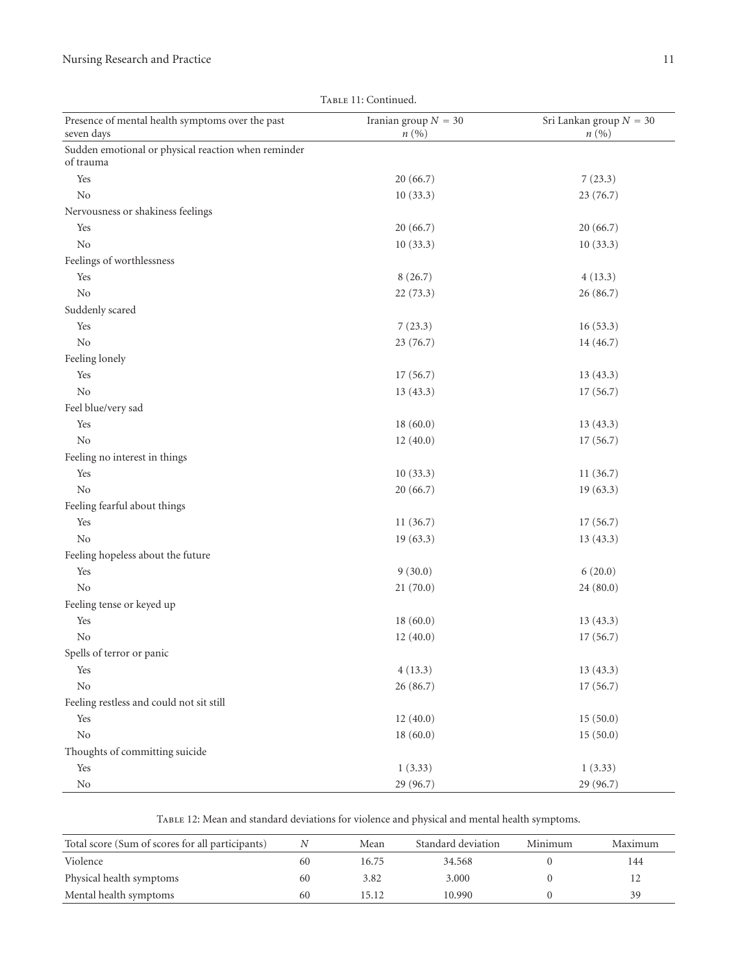## Nursing Research and Practice 11

| Presence of mental health symptoms over the past<br>seven days   | Iranian group $N = 30$<br>n(%) | Sri Lankan group $N = 30$<br>$n\left(\%\right)$ |  |
|------------------------------------------------------------------|--------------------------------|-------------------------------------------------|--|
| Sudden emotional or physical reaction when reminder<br>of trauma |                                |                                                 |  |
| Yes                                                              | 20(66.7)                       | 7(23.3)                                         |  |
| No                                                               | 10(33.3)                       | 23 (76.7)                                       |  |
| Nervousness or shakiness feelings                                |                                |                                                 |  |
| Yes                                                              | 20(66.7)                       | 20(66.7)                                        |  |
| $\rm No$                                                         | 10(33.3)                       | 10(33.3)                                        |  |
| Feelings of worthlessness                                        |                                |                                                 |  |
| Yes                                                              | 8(26.7)                        | 4(13.3)                                         |  |
| No                                                               | 22(73.3)                       | 26(86.7)                                        |  |
| Suddenly scared                                                  |                                |                                                 |  |
| Yes                                                              | 7(23.3)                        | 16(53.3)                                        |  |
| $\rm No$                                                         | 23 (76.7)                      | 14(46.7)                                        |  |
| Feeling lonely                                                   |                                |                                                 |  |
| Yes                                                              | 17(56.7)                       | 13(43.3)                                        |  |
| No                                                               | 13(43.3)                       | 17(56.7)                                        |  |
| Feel blue/very sad                                               |                                |                                                 |  |
| Yes                                                              | 18(60.0)                       | 13(43.3)                                        |  |
| $\rm No$                                                         | 12(40.0)                       | 17(56.7)                                        |  |
| Feeling no interest in things                                    |                                |                                                 |  |
| Yes                                                              | 10(33.3)                       | 11(36.7)                                        |  |
| No                                                               | 20(66.7)                       | 19(63.3)                                        |  |
| Feeling fearful about things                                     |                                |                                                 |  |
| Yes                                                              | 11(36.7)                       | 17(56.7)                                        |  |
| No                                                               | 19(63.3)                       | 13(43.3)                                        |  |
| Feeling hopeless about the future                                |                                |                                                 |  |
| Yes                                                              | 9(30.0)                        | 6(20.0)                                         |  |
| $\rm No$                                                         | 21(70.0)                       | 24(80.0)                                        |  |
| Feeling tense or keyed up                                        |                                |                                                 |  |
| Yes                                                              | 18(60.0)                       | 13(43.3)                                        |  |
| $\rm No$                                                         | 12(40.0)                       | 17(56.7)                                        |  |
| Spells of terror or panic                                        |                                |                                                 |  |
| Yes                                                              | 4(13.3)                        | 13(43.3)                                        |  |
| $\rm No$                                                         | 26(86.7)                       | 17(56.7)                                        |  |
| Feeling restless and could not sit still                         |                                |                                                 |  |
| Yes                                                              | 12(40.0)                       | 15(50.0)                                        |  |
| $\rm No$                                                         | 18(60.0)                       | 15(50.0)                                        |  |
| Thoughts of committing suicide                                   |                                |                                                 |  |
| Yes                                                              | 1(3.33)                        | 1(3.33)                                         |  |
| $\rm No$                                                         | 29 (96.7)                      | 29 (96.7)                                       |  |

TABLE 11: Continued.

TABLE 12: Mean and standard deviations for violence and physical and mental health symptoms.

| Total score (Sum of scores for all participants) |    | Mean  | Standard deviation | Minimum | Maximum |
|--------------------------------------------------|----|-------|--------------------|---------|---------|
| Violence                                         | 60 | 16.75 | 34.568             |         | 144     |
| Physical health symptoms                         | 60 | 3.82  | 3.000              |         |         |
| Mental health symptoms                           | 60 | 15.12 | 10.990             |         | 39      |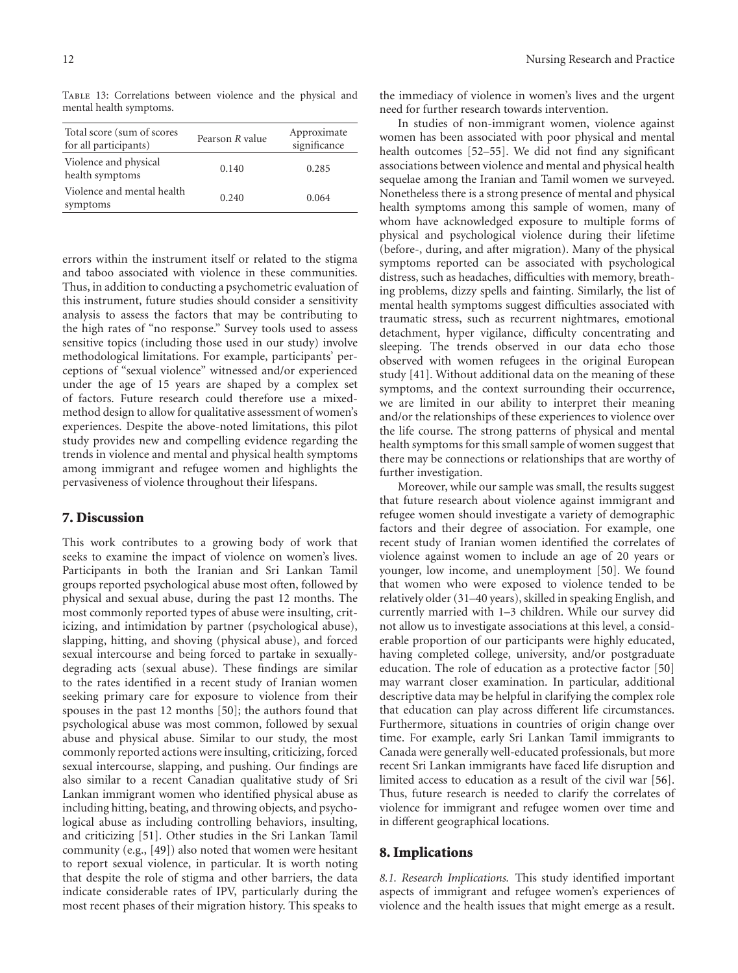Total score (sum of scores **Pearson** *R* value Approximate<br>
for all participants) **Pearson** *R* value significance significance Violence and physical whence and physical  $0.140$  0.285 Violence and mental health symptoms 0.240 0.064

Table 13: Correlations between violence and the physical and mental health symptoms.

errors within the instrument itself or related to the stigma and taboo associated with violence in these communities. Thus, in addition to conducting a psychometric evaluation of this instrument, future studies should consider a sensitivity analysis to assess the factors that may be contributing to the high rates of "no response." Survey tools used to assess sensitive topics (including those used in our study) involve methodological limitations. For example, participants' perceptions of "sexual violence" witnessed and/or experienced under the age of 15 years are shaped by a complex set of factors. Future research could therefore use a mixedmethod design to allow for qualitative assessment of women's experiences. Despite the above-noted limitations, this pilot study provides new and compelling evidence regarding the trends in violence and mental and physical health symptoms among immigrant and refugee women and highlights the pervasiveness of violence throughout their lifespans.

#### **7. Discussion**

This work contributes to a growing body of work that seeks to examine the impact of violence on women's lives. Participants in both the Iranian and Sri Lankan Tamil groups reported psychological abuse most often, followed by physical and sexual abuse, during the past 12 months. The most commonly reported types of abuse were insulting, criticizing, and intimidation by partner (psychological abuse), slapping, hitting, and shoving (physical abuse), and forced sexual intercourse and being forced to partake in sexuallydegrading acts (sexual abuse). These findings are similar to the rates identified in a recent study of Iranian women seeking primary care for exposure to violence from their spouses in the past 12 months [50]; the authors found that psychological abuse was most common, followed by sexual abuse and physical abuse. Similar to our study, the most commonly reported actions were insulting, criticizing, forced sexual intercourse, slapping, and pushing. Our findings are also similar to a recent Canadian qualitative study of Sri Lankan immigrant women who identified physical abuse as including hitting, beating, and throwing objects, and psychological abuse as including controlling behaviors, insulting, and criticizing [51]. Other studies in the Sri Lankan Tamil community (e.g., [49]) also noted that women were hesitant to report sexual violence, in particular. It is worth noting that despite the role of stigma and other barriers, the data indicate considerable rates of IPV, particularly during the most recent phases of their migration history. This speaks to

the immediacy of violence in women's lives and the urgent need for further research towards intervention.

In studies of non-immigrant women, violence against women has been associated with poor physical and mental health outcomes [52–55]. We did not find any significant associations between violence and mental and physical health sequelae among the Iranian and Tamil women we surveyed. Nonetheless there is a strong presence of mental and physical health symptoms among this sample of women, many of whom have acknowledged exposure to multiple forms of physical and psychological violence during their lifetime (before-, during, and after migration). Many of the physical symptoms reported can be associated with psychological distress, such as headaches, difficulties with memory, breathing problems, dizzy spells and fainting. Similarly, the list of mental health symptoms suggest difficulties associated with traumatic stress, such as recurrent nightmares, emotional detachment, hyper vigilance, difficulty concentrating and sleeping. The trends observed in our data echo those observed with women refugees in the original European study [41]. Without additional data on the meaning of these symptoms, and the context surrounding their occurrence, we are limited in our ability to interpret their meaning and/or the relationships of these experiences to violence over the life course. The strong patterns of physical and mental health symptoms for this small sample of women suggest that there may be connections or relationships that are worthy of further investigation.

Moreover, while our sample was small, the results suggest that future research about violence against immigrant and refugee women should investigate a variety of demographic factors and their degree of association. For example, one recent study of Iranian women identified the correlates of violence against women to include an age of 20 years or younger, low income, and unemployment [50]. We found that women who were exposed to violence tended to be relatively older (31–40 years), skilled in speaking English, and currently married with 1–3 children. While our survey did not allow us to investigate associations at this level, a considerable proportion of our participants were highly educated, having completed college, university, and/or postgraduate education. The role of education as a protective factor [50] may warrant closer examination. In particular, additional descriptive data may be helpful in clarifying the complex role that education can play across different life circumstances. Furthermore, situations in countries of origin change over time. For example, early Sri Lankan Tamil immigrants to Canada were generally well-educated professionals, but more recent Sri Lankan immigrants have faced life disruption and limited access to education as a result of the civil war [56]. Thus, future research is needed to clarify the correlates of violence for immigrant and refugee women over time and in different geographical locations.

#### **8. Implications**

*8.1. Research Implications.* This study identified important aspects of immigrant and refugee women's experiences of violence and the health issues that might emerge as a result.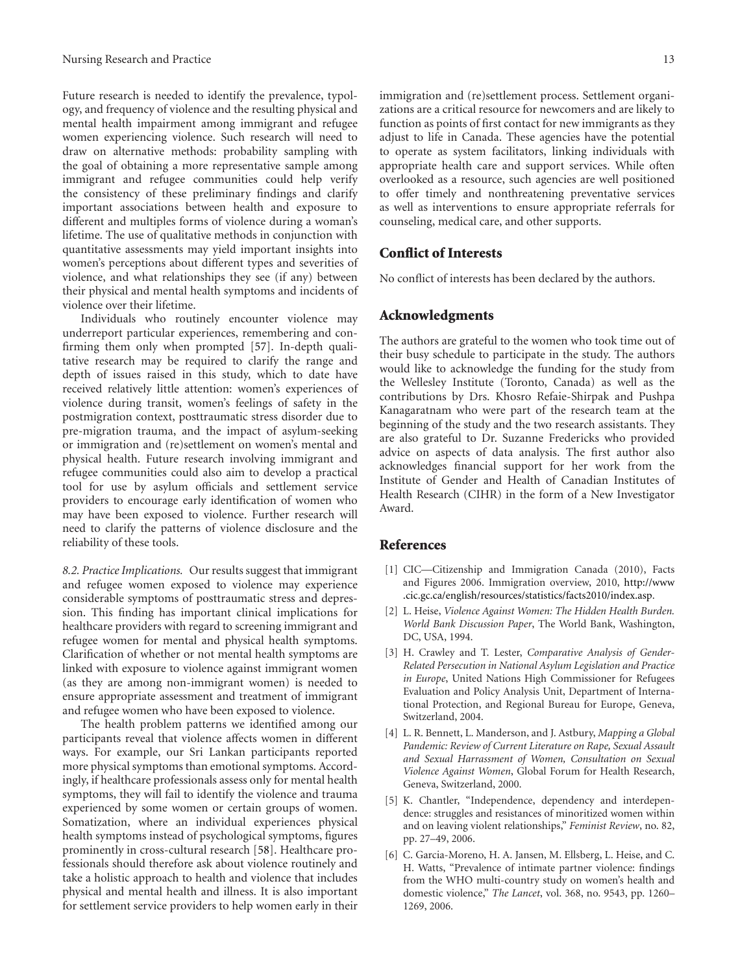Future research is needed to identify the prevalence, typology, and frequency of violence and the resulting physical and mental health impairment among immigrant and refugee women experiencing violence. Such research will need to draw on alternative methods: probability sampling with the goal of obtaining a more representative sample among immigrant and refugee communities could help verify the consistency of these preliminary findings and clarify important associations between health and exposure to different and multiples forms of violence during a woman's lifetime. The use of qualitative methods in conjunction with quantitative assessments may yield important insights into women's perceptions about different types and severities of violence, and what relationships they see (if any) between their physical and mental health symptoms and incidents of violence over their lifetime.

Individuals who routinely encounter violence may underreport particular experiences, remembering and confirming them only when prompted [57]. In-depth qualitative research may be required to clarify the range and depth of issues raised in this study, which to date have received relatively little attention: women's experiences of violence during transit, women's feelings of safety in the postmigration context, posttraumatic stress disorder due to pre-migration trauma, and the impact of asylum-seeking or immigration and (re)settlement on women's mental and physical health. Future research involving immigrant and refugee communities could also aim to develop a practical tool for use by asylum officials and settlement service providers to encourage early identification of women who may have been exposed to violence. Further research will need to clarify the patterns of violence disclosure and the reliability of these tools.

*8.2. Practice Implications.* Our results suggest that immigrant and refugee women exposed to violence may experience considerable symptoms of posttraumatic stress and depression. This finding has important clinical implications for healthcare providers with regard to screening immigrant and refugee women for mental and physical health symptoms. Clarification of whether or not mental health symptoms are linked with exposure to violence against immigrant women (as they are among non-immigrant women) is needed to ensure appropriate assessment and treatment of immigrant and refugee women who have been exposed to violence.

The health problem patterns we identified among our participants reveal that violence affects women in different ways. For example, our Sri Lankan participants reported more physical symptoms than emotional symptoms. Accordingly, if healthcare professionals assess only for mental health symptoms, they will fail to identify the violence and trauma experienced by some women or certain groups of women. Somatization, where an individual experiences physical health symptoms instead of psychological symptoms, figures prominently in cross-cultural research [58]. Healthcare professionals should therefore ask about violence routinely and take a holistic approach to health and violence that includes physical and mental health and illness. It is also important for settlement service providers to help women early in their

immigration and (re)settlement process. Settlement organizations are a critical resource for newcomers and are likely to function as points of first contact for new immigrants as they adjust to life in Canada. These agencies have the potential to operate as system facilitators, linking individuals with appropriate health care and support services. While often overlooked as a resource, such agencies are well positioned to offer timely and nonthreatening preventative services as well as interventions to ensure appropriate referrals for counseling, medical care, and other supports.

#### **Conflict of Interests**

No conflict of interests has been declared by the authors.

#### **Acknowledgments**

The authors are grateful to the women who took time out of their busy schedule to participate in the study. The authors would like to acknowledge the funding for the study from the Wellesley Institute (Toronto, Canada) as well as the contributions by Drs. Khosro Refaie-Shirpak and Pushpa Kanagaratnam who were part of the research team at the beginning of the study and the two research assistants. They are also grateful to Dr. Suzanne Fredericks who provided advice on aspects of data analysis. The first author also acknowledges financial support for her work from the Institute of Gender and Health of Canadian Institutes of Health Research (CIHR) in the form of a New Investigator Award.

#### **References**

- [1] CIC—Citizenship and Immigration Canada (2010), Facts and Figures 2006. Immigration overview, 2010, http://www .cic.gc.ca/english/resources/statistics/facts2010/index.asp.
- [2] L. Heise, *Violence Against Women: The Hidden Health Burden. World Bank Discussion Paper*, The World Bank, Washington, DC, USA, 1994.
- [3] H. Crawley and T. Lester, *Comparative Analysis of Gender-Related Persecution in National Asylum Legislation and Practice in Europe*, United Nations High Commissioner for Refugees Evaluation and Policy Analysis Unit, Department of International Protection, and Regional Bureau for Europe, Geneva, Switzerland, 2004.
- [4] L. R. Bennett, L. Manderson, and J. Astbury, *Mapping a Global Pandemic: Review of Current Literature on Rape, Sexual Assault and Sexual Harrassment of Women, Consultation on Sexual Violence Against Women*, Global Forum for Health Research, Geneva, Switzerland, 2000.
- [5] K. Chantler, "Independence, dependency and interdependence: struggles and resistances of minoritized women within and on leaving violent relationships," *Feminist Review*, no. 82, pp. 27–49, 2006.
- [6] C. Garcia-Moreno, H. A. Jansen, M. Ellsberg, L. Heise, and C. H. Watts, "Prevalence of intimate partner violence: findings from the WHO multi-country study on women's health and domestic violence," *The Lancet*, vol. 368, no. 9543, pp. 1260– 1269, 2006.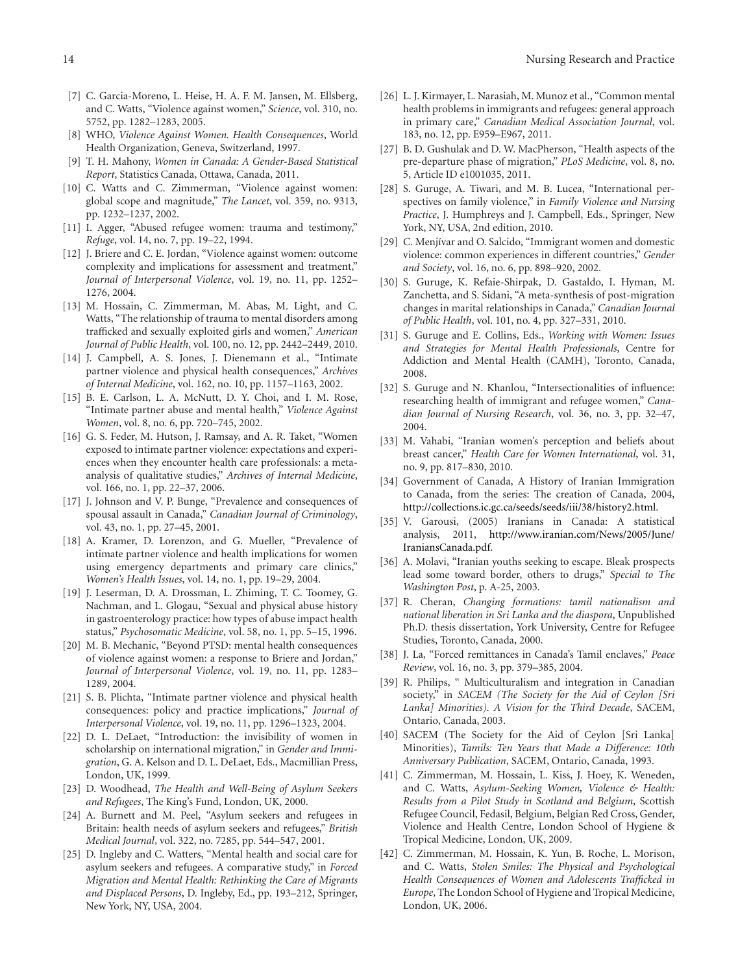- [7] C. Garcia-Moreno, L. Heise, H. A. F. M. Jansen, M. Ellsberg, and C. Watts, "Violence against women," *Science*, vol. 310, no. 5752, pp. 1282–1283, 2005.
- [8] WHO, *Violence Against Women. Health Consequences*, World Health Organization, Geneva, Switzerland, 1997.
- [9] T. H. Mahony, *Women in Canada: A Gender-Based Statistical Report*, Statistics Canada, Ottawa, Canada, 2011.
- [10] C. Watts and C. Zimmerman, "Violence against women: global scope and magnitude," *The Lancet*, vol. 359, no. 9313, pp. 1232–1237, 2002.
- [11] I. Agger, "Abused refugee women: trauma and testimony," *Refuge*, vol. 14, no. 7, pp. 19–22, 1994.
- [12] J. Briere and C. E. Jordan, "Violence against women: outcome complexity and implications for assessment and treatment," *Journal of Interpersonal Violence*, vol. 19, no. 11, pp. 1252– 1276, 2004.
- [13] M. Hossain, C. Zimmerman, M. Abas, M. Light, and C. Watts, "The relationship of trauma to mental disorders among trafficked and sexually exploited girls and women," *American Journal of Public Health*, vol. 100, no. 12, pp. 2442–2449, 2010.
- [14] J. Campbell, A. S. Jones, J. Dienemann et al., "Intimate partner violence and physical health consequences," *Archives of Internal Medicine*, vol. 162, no. 10, pp. 1157–1163, 2002.
- [15] B. E. Carlson, L. A. McNutt, D. Y. Choi, and I. M. Rose, "Intimate partner abuse and mental health," *Violence Against Women*, vol. 8, no. 6, pp. 720–745, 2002.
- [16] G. S. Feder, M. Hutson, J. Ramsay, and A. R. Taket, "Women exposed to intimate partner violence: expectations and experiences when they encounter health care professionals: a metaanalysis of qualitative studies," *Archives of Internal Medicine*, vol. 166, no. 1, pp. 22–37, 2006.
- [17] J. Johnson and V. P. Bunge, "Prevalence and consequences of spousal assault in Canada," *Canadian Journal of Criminology*, vol. 43, no. 1, pp. 27–45, 2001.
- [18] A. Kramer, D. Lorenzon, and G. Mueller, "Prevalence of intimate partner violence and health implications for women using emergency departments and primary care clinics," *Women's Health Issues*, vol. 14, no. 1, pp. 19–29, 2004.
- [19] J. Leserman, D. A. Drossman, L. Zhiming, T. C. Toomey, G. Nachman, and L. Glogau, "Sexual and physical abuse history in gastroenterology practice: how types of abuse impact health status," *Psychosomatic Medicine*, vol. 58, no. 1, pp. 5–15, 1996.
- [20] M. B. Mechanic, "Beyond PTSD: mental health consequences of violence against women: a response to Briere and Jordan," *Journal of Interpersonal Violence*, vol. 19, no. 11, pp. 1283– 1289, 2004.
- [21] S. B. Plichta, "Intimate partner violence and physical health consequences: policy and practice implications," *Journal of Interpersonal Violence*, vol. 19, no. 11, pp. 1296–1323, 2004.
- [22] D. L. DeLaet, "Introduction: the invisibility of women in scholarship on international migration," in *Gender and Immigration*, G. A. Kelson and D. L. DeLaet, Eds., Macmillian Press, London, UK, 1999.
- [23] D. Woodhead, *The Health and Well-Being of Asylum Seekers and Refugees*, The King's Fund, London, UK, 2000.
- [24] A. Burnett and M. Peel, "Asylum seekers and refugees in Britain: health needs of asylum seekers and refugees," *British Medical Journal*, vol. 322, no. 7285, pp. 544–547, 2001.
- [25] D. Ingleby and C. Watters, "Mental health and social care for asylum seekers and refugees. A comparative study," in *Forced Migration and Mental Health: Rethinking the Care of Migrants and Displaced Persons*, D. Ingleby, Ed., pp. 193–212, Springer, New York, NY, USA, 2004.
- [26] L. J. Kirmayer, L. Narasiah, M. Munoz et al., "Common mental health problems in immigrants and refugees: general approach in primary care," *Canadian Medical Association Journal*, vol. 183, no. 12, pp. E959–E967, 2011.
- [27] B. D. Gushulak and D. W. MacPherson, "Health aspects of the pre-departure phase of migration," *PLoS Medicine*, vol. 8, no. 5, Article ID e1001035, 2011.
- [28] S. Guruge, A. Tiwari, and M. B. Lucea, "International perspectives on family violence," in *Family Violence and Nursing Practice*, J. Humphreys and J. Campbell, Eds., Springer, New York, NY, USA, 2nd edition, 2010.
- [29] C. Menjívar and O. Salcido, "Immigrant women and domestic violence: common experiences in different countries," *Gender and Society*, vol. 16, no. 6, pp. 898–920, 2002.
- [30] S. Guruge, K. Refaie-Shirpak, D. Gastaldo, I. Hyman, M. Zanchetta, and S. Sidani, "A meta-synthesis of post-migration changes in marital relationships in Canada," *Canadian Journal of Public Health*, vol. 101, no. 4, pp. 327–331, 2010.
- [31] S. Guruge and E. Collins, Eds., *Working with Women: Issues and Strategies for Mental Health Professionals*, Centre for Addiction and Mental Health (CAMH), Toronto, Canada, 2008.
- [32] S. Guruge and N. Khanlou, "Intersectionalities of influence: researching health of immigrant and refugee women," *Canadian Journal of Nursing Research*, vol. 36, no. 3, pp. 32–47, 2004.
- [33] M. Vahabi, "Iranian women's perception and beliefs about breast cancer," *Health Care for Women International*, vol. 31, no. 9, pp. 817–830, 2010.
- [34] Government of Canada, A History of Iranian Immigration to Canada, from the series: The creation of Canada, 2004, http://collections.ic.gc.ca/seeds/seeds/iii/38/history2.html.
- [35] V. Garousi, (2005) Iranians in Canada: A statistical analysis, 2011, http://www.iranian.com/News/2005/June/ IraniansCanada.pdf.
- [36] A. Molavi, "Iranian youths seeking to escape. Bleak prospects lead some toward border, others to drugs," *Special to The Washington Post*, p. A-25, 2003.
- [37] R. Cheran, *Changing formations: tamil nationalism and national liberation in Sri Lanka and the diaspora*, Unpublished Ph.D. thesis dissertation, York University, Centre for Refugee Studies, Toronto, Canada, 2000.
- [38] J. La, "Forced remittances in Canada's Tamil enclaves," *Peace Review*, vol. 16, no. 3, pp. 379–385, 2004.
- [39] R. Philips, " Multiculturalism and integration in Canadian society," in *SACEM (The Society for the Aid of Ceylon [Sri Lanka] Minorities). A Vision for the Third Decade*, SACEM, Ontario, Canada, 2003.
- [40] SACEM (The Society for the Aid of Ceylon [Sri Lanka] Minorities), *Tamils: Ten Years that Made a Difference: 10th Anniversary Publication*, SACEM, Ontario, Canada, 1993.
- [41] C. Zimmerman, M. Hossain, L. Kiss, J. Hoey, K. Weneden, and C. Watts, *Asylum-Seeking Women, Violence & Health: Results from a Pilot Study in Scotland and Belgium*, Scottish Refugee Council, Fedasil, Belgium, Belgian Red Cross, Gender, Violence and Health Centre, London School of Hygiene & Tropical Medicine, London, UK, 2009.
- [42] C. Zimmerman, M. Hossain, K. Yun, B. Roche, L. Morison, and C. Watts, *Stolen Smiles: The Physical and Psychological Health Consequences of Women and Adolescents Trafficked in Europe*, The London School of Hygiene and Tropical Medicine, London, UK, 2006.